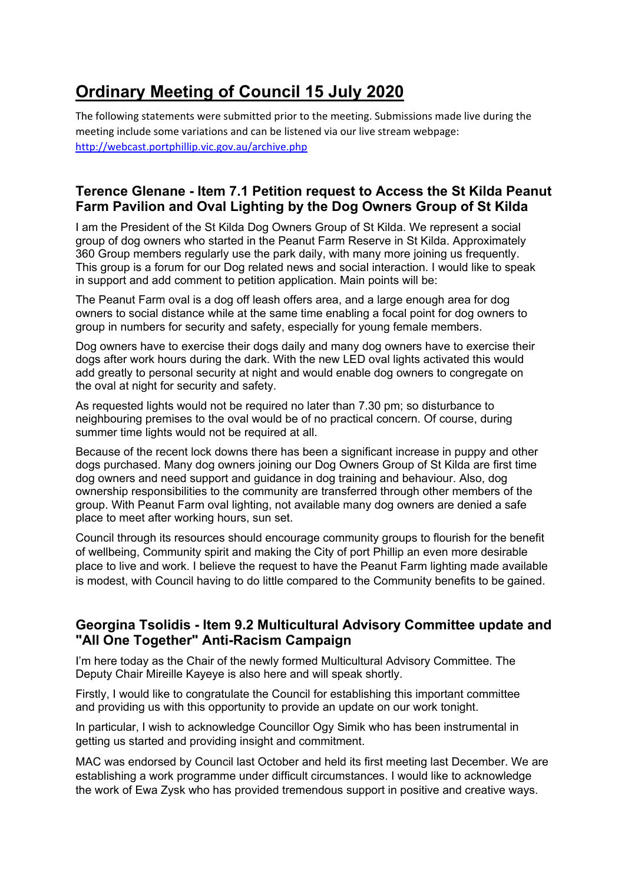# **Ordinary Meeting of Council 15 July 2020**

The following statements were submitted prior to the meeting. Submissions made live during the meeting include some variations and can be listened via our live stream webpage: http://webcast.portphillip.vic.gov.au/archive.php

# **Terence Glenane - Item 7.1 Petition request to Access the St Kilda Peanut Farm Pavilion and Oval Lighting by the Dog Owners Group of St Kilda**

I am the President of the St Kilda Dog Owners Group of St Kilda. We represent a social group of dog owners who started in the Peanut Farm Reserve in St Kilda. Approximately 360 Group members regularly use the park daily, with many more joining us frequently. This group is a forum for our Dog related news and social interaction. I would like to speak in support and add comment to petition application. Main points will be:

The Peanut Farm oval is a dog off leash offers area, and a large enough area for dog owners to social distance while at the same time enabling a focal point for dog owners to group in numbers for security and safety, especially for young female members.

Dog owners have to exercise their dogs daily and many dog owners have to exercise their dogs after work hours during the dark. With the new LED oval lights activated this would add greatly to personal security at night and would enable dog owners to congregate on the oval at night for security and safety.

As requested lights would not be required no later than 7.30 pm; so disturbance to neighbouring premises to the oval would be of no practical concern. Of course, during summer time lights would not be required at all.

Because of the recent lock downs there has been a significant increase in puppy and other dogs purchased. Many dog owners joining our Dog Owners Group of St Kilda are first time dog owners and need support and guidance in dog training and behaviour. Also, dog ownership responsibilities to the community are transferred through other members of the group. With Peanut Farm oval lighting, not available many dog owners are denied a safe place to meet after working hours, sun set.

Council through its resources should encourage community groups to flourish for the benefit of wellbeing, Community spirit and making the City of port Phillip an even more desirable place to live and work. I believe the request to have the Peanut Farm lighting made available is modest, with Council having to do little compared to the Community benefits to be gained.

# **Georgina Tsolidis - Item 9.2 Multicultural Advisory Committee update and "All One Together" Anti-Racism Campaign**

I'm here today as the Chair of the newly formed Multicultural Advisory Committee. The Deputy Chair Mireille Kayeye is also here and will speak shortly.

Firstly, I would like to congratulate the Council for establishing this important committee and providing us with this opportunity to provide an update on our work tonight.

In particular, I wish to acknowledge Councillor Ogy Simik who has been instrumental in getting us started and providing insight and commitment.

MAC was endorsed by Council last October and held its first meeting last December. We are establishing a work programme under difficult circumstances. I would like to acknowledge the work of Ewa Zysk who has provided tremendous support in positive and creative ways.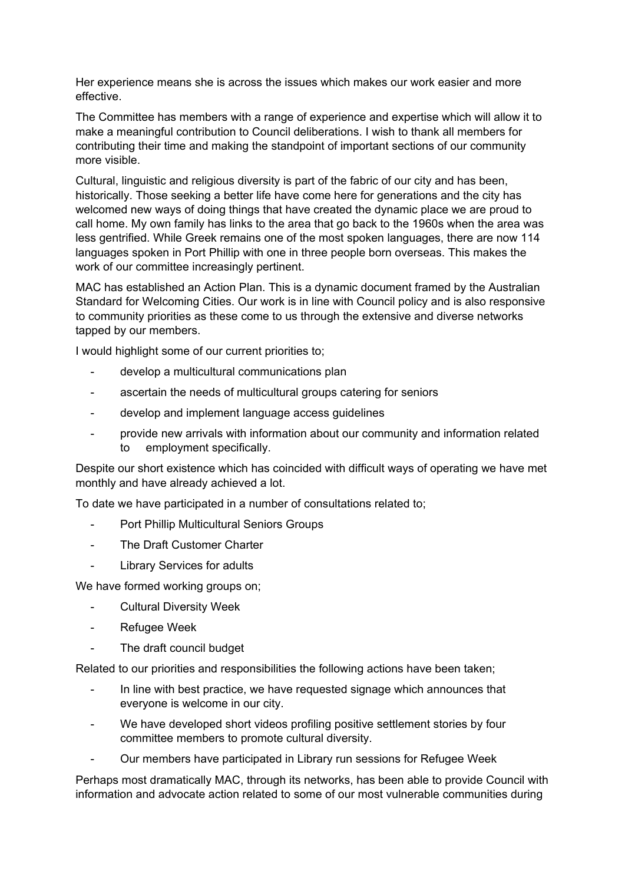Her experience means she is across the issues which makes our work easier and more effective.

The Committee has members with a range of experience and expertise which will allow it to make a meaningful contribution to Council deliberations. I wish to thank all members for contributing their time and making the standpoint of important sections of our community more visible.

Cultural, linguistic and religious diversity is part of the fabric of our city and has been, historically. Those seeking a better life have come here for generations and the city has welcomed new ways of doing things that have created the dynamic place we are proud to call home. My own family has links to the area that go back to the 1960s when the area was less gentrified. While Greek remains one of the most spoken languages, there are now 114 languages spoken in Port Phillip with one in three people born overseas. This makes the work of our committee increasingly pertinent.

MAC has established an Action Plan. This is a dynamic document framed by the Australian Standard for Welcoming Cities. Our work is in line with Council policy and is also responsive to community priorities as these come to us through the extensive and diverse networks tapped by our members.

I would highlight some of our current priorities to;

- develop a multicultural communications plan
- ascertain the needs of multicultural groups catering for seniors
- develop and implement language access quidelines
- provide new arrivals with information about our community and information related to employment specifically.

Despite our short existence which has coincided with difficult ways of operating we have met monthly and have already achieved a lot.

To date we have participated in a number of consultations related to;

- Port Phillip Multicultural Seniors Groups
- The Draft Customer Charter
- Library Services for adults

We have formed working groups on;

- Cultural Diversity Week
- Refugee Week
- The draft council budget

Related to our priorities and responsibilities the following actions have been taken;

- In line with best practice, we have requested signage which announces that everyone is welcome in our city.
- We have developed short videos profiling positive settlement stories by four committee members to promote cultural diversity.
- Our members have participated in Library run sessions for Refugee Week

Perhaps most dramatically MAC, through its networks, has been able to provide Council with information and advocate action related to some of our most vulnerable communities during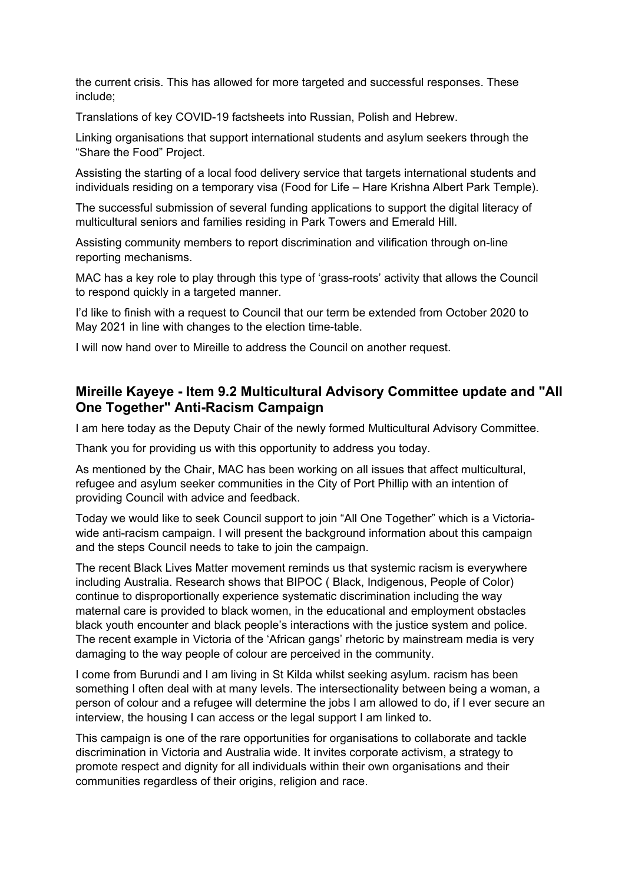the current crisis. This has allowed for more targeted and successful responses. These include;

Translations of key COVID-19 factsheets into Russian, Polish and Hebrew.

Linking organisations that support international students and asylum seekers through the "Share the Food" Project.

Assisting the starting of a local food delivery service that targets international students and individuals residing on a temporary visa (Food for Life – Hare Krishna Albert Park Temple).

The successful submission of several funding applications to support the digital literacy of multicultural seniors and families residing in Park Towers and Emerald Hill.

Assisting community members to report discrimination and vilification through on-line reporting mechanisms.

MAC has a key role to play through this type of 'grass-roots' activity that allows the Council to respond quickly in a targeted manner.

I'd like to finish with a request to Council that our term be extended from October 2020 to May 2021 in line with changes to the election time-table.

I will now hand over to Mireille to address the Council on another request.

### **Mireille Kayeye - Item 9.2 Multicultural Advisory Committee update and "All One Together" Anti-Racism Campaign**

I am here today as the Deputy Chair of the newly formed Multicultural Advisory Committee.

Thank you for providing us with this opportunity to address you today.

As mentioned by the Chair, MAC has been working on all issues that affect multicultural, refugee and asylum seeker communities in the City of Port Phillip with an intention of providing Council with advice and feedback.

Today we would like to seek Council support to join "All One Together" which is a Victoriawide anti-racism campaign. I will present the background information about this campaign and the steps Council needs to take to join the campaign.

The recent Black Lives Matter movement reminds us that systemic racism is everywhere including Australia. Research shows that BIPOC ( Black, Indigenous, People of Color) continue to disproportionally experience systematic discrimination including the way maternal care is provided to black women, in the educational and employment obstacles black youth encounter and black people's interactions with the justice system and police. The recent example in Victoria of the 'African gangs' rhetoric by mainstream media is very damaging to the way people of colour are perceived in the community.

I come from Burundi and I am living in St Kilda whilst seeking asylum. racism has been something I often deal with at many levels. The intersectionality between being a woman, a person of colour and a refugee will determine the jobs I am allowed to do, if I ever secure an interview, the housing I can access or the legal support I am linked to.

This campaign is one of the rare opportunities for organisations to collaborate and tackle discrimination in Victoria and Australia wide. It invites corporate activism, a strategy to promote respect and dignity for all individuals within their own organisations and their communities regardless of their origins, religion and race.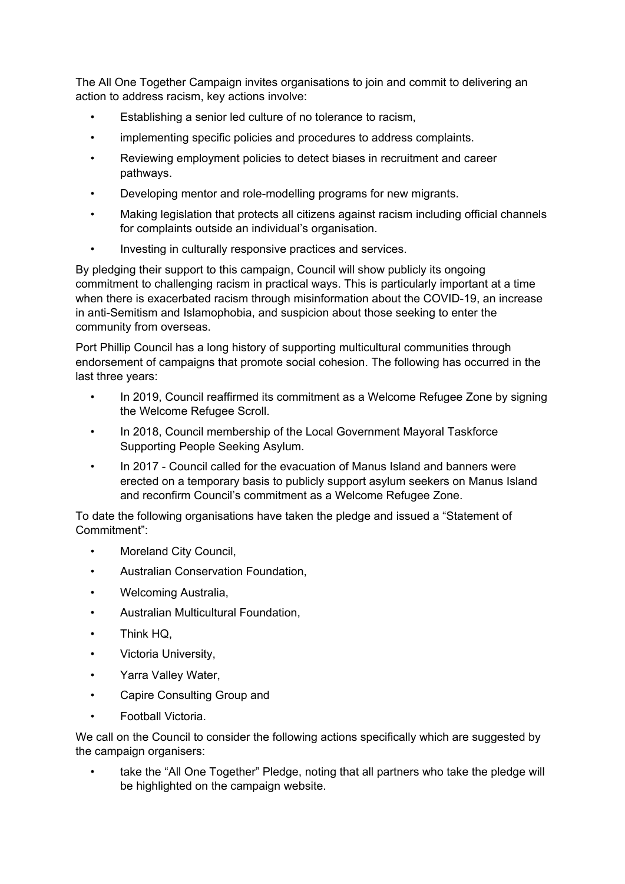The All One Together Campaign invites organisations to join and commit to delivering an action to address racism, key actions involve:

- Establishing a senior led culture of no tolerance to racism,
- implementing specific policies and procedures to address complaints.
- Reviewing employment policies to detect biases in recruitment and career pathways.
- Developing mentor and role-modelling programs for new migrants.
- Making legislation that protects all citizens against racism including official channels for complaints outside an individual's organisation.
- Investing in culturally responsive practices and services.

By pledging their support to this campaign, Council will show publicly its ongoing commitment to challenging racism in practical ways. This is particularly important at a time when there is exacerbated racism through misinformation about the COVID-19, an increase in anti-Semitism and Islamophobia, and suspicion about those seeking to enter the community from overseas.

Port Phillip Council has a long history of supporting multicultural communities through endorsement of campaigns that promote social cohesion. The following has occurred in the last three years:

- In 2019, Council reaffirmed its commitment as a Welcome Refugee Zone by signing the Welcome Refugee Scroll.
- In 2018, Council membership of the Local Government Mayoral Taskforce Supporting People Seeking Asylum.
- In 2017 Council called for the evacuation of Manus Island and banners were erected on a temporary basis to publicly support asylum seekers on Manus Island and reconfirm Council's commitment as a Welcome Refugee Zone.

To date the following organisations have taken the pledge and issued a "Statement of Commitment":

- Moreland City Council,
- Australian Conservation Foundation,
- Welcoming Australia,
- Australian Multicultural Foundation,
- Think HQ,
- Victoria University,
- Yarra Valley Water,
- Capire Consulting Group and
- Football Victoria.

We call on the Council to consider the following actions specifically which are suggested by the campaign organisers:

take the "All One Together" Pledge, noting that all partners who take the pledge will be highlighted on the campaign website.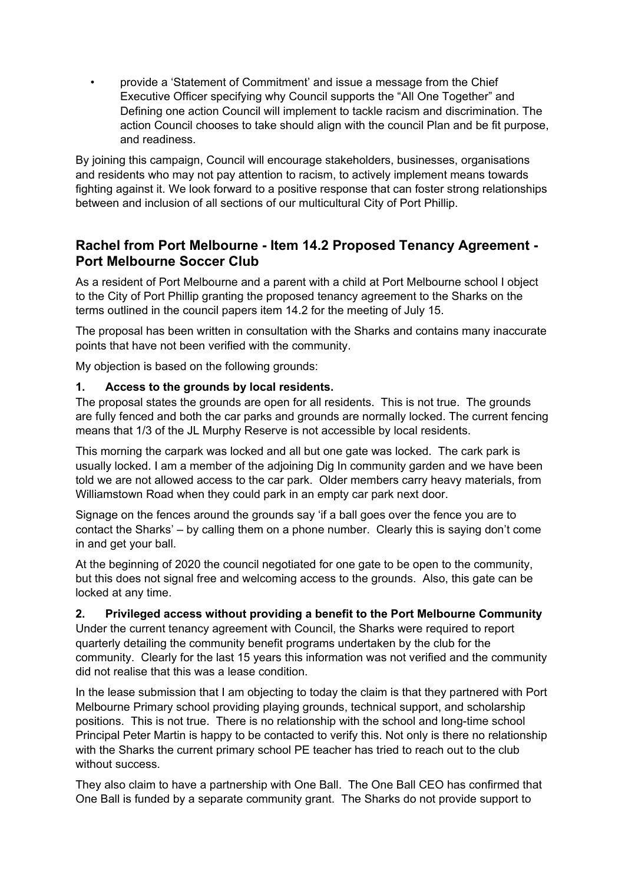• provide a 'Statement of Commitment' and issue a message from the Chief Executive Officer specifying why Council supports the "All One Together" and Defining one action Council will implement to tackle racism and discrimination. The action Council chooses to take should align with the council Plan and be fit purpose, and readiness.

By joining this campaign, Council will encourage stakeholders, businesses, organisations and residents who may not pay attention to racism, to actively implement means towards fighting against it. We look forward to a positive response that can foster strong relationships between and inclusion of all sections of our multicultural City of Port Phillip.

# **Rachel from Port Melbourne - Item 14.2 Proposed Tenancy Agreement - Port Melbourne Soccer Club**

As a resident of Port Melbourne and a parent with a child at Port Melbourne school I object to the City of Port Phillip granting the proposed tenancy agreement to the Sharks on the terms outlined in the council papers item 14.2 for the meeting of July 15.

The proposal has been written in consultation with the Sharks and contains many inaccurate points that have not been verified with the community.

My objection is based on the following grounds:

#### **1. Access to the grounds by local residents.**

The proposal states the grounds are open for all residents. This is not true. The grounds are fully fenced and both the car parks and grounds are normally locked. The current fencing means that 1/3 of the JL Murphy Reserve is not accessible by local residents.

This morning the carpark was locked and all but one gate was locked. The cark park is usually locked. I am a member of the adjoining Dig In community garden and we have been told we are not allowed access to the car park. Older members carry heavy materials, from Williamstown Road when they could park in an empty car park next door.

Signage on the fences around the grounds say 'if a ball goes over the fence you are to contact the Sharks' – by calling them on a phone number. Clearly this is saying don't come in and get your ball.

At the beginning of 2020 the council negotiated for one gate to be open to the community, but this does not signal free and welcoming access to the grounds. Also, this gate can be locked at any time.

#### **2. Privileged access without providing a benefit to the Port Melbourne Community**

Under the current tenancy agreement with Council, the Sharks were required to report quarterly detailing the community benefit programs undertaken by the club for the community. Clearly for the last 15 years this information was not verified and the community did not realise that this was a lease condition.

In the lease submission that I am objecting to today the claim is that they partnered with Port Melbourne Primary school providing playing grounds, technical support, and scholarship positions. This is not true. There is no relationship with the school and long-time school Principal Peter Martin is happy to be contacted to verify this. Not only is there no relationship with the Sharks the current primary school PE teacher has tried to reach out to the club without success.

They also claim to have a partnership with One Ball. The One Ball CEO has confirmed that One Ball is funded by a separate community grant. The Sharks do not provide support to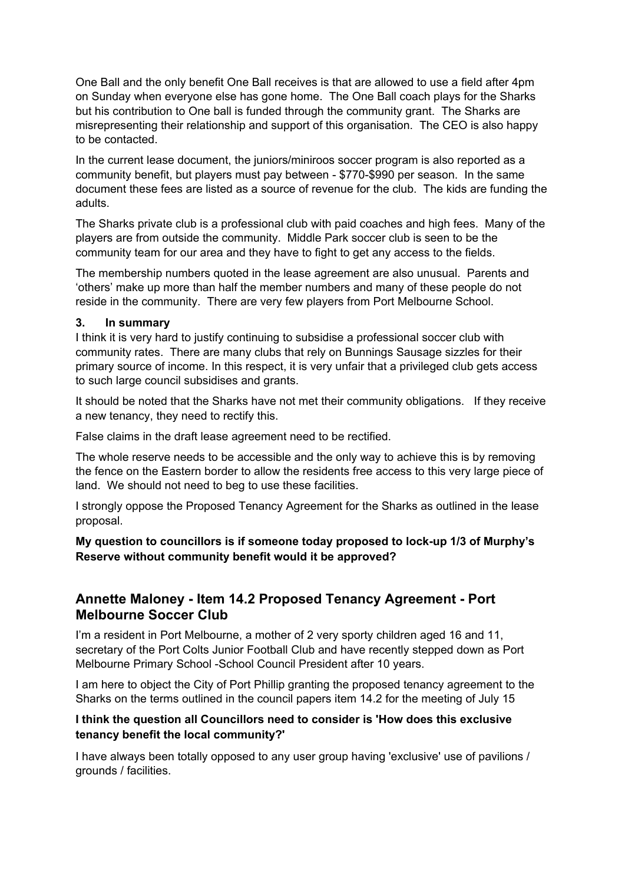One Ball and the only benefit One Ball receives is that are allowed to use a field after 4pm on Sunday when everyone else has gone home. The One Ball coach plays for the Sharks but his contribution to One ball is funded through the community grant. The Sharks are misrepresenting their relationship and support of this organisation. The CEO is also happy to be contacted.

In the current lease document, the juniors/miniroos soccer program is also reported as a community benefit, but players must pay between - \$770-\$990 per season. In the same document these fees are listed as a source of revenue for the club. The kids are funding the adults.

The Sharks private club is a professional club with paid coaches and high fees. Many of the players are from outside the community. Middle Park soccer club is seen to be the community team for our area and they have to fight to get any access to the fields.

The membership numbers quoted in the lease agreement are also unusual. Parents and 'others' make up more than half the member numbers and many of these people do not reside in the community. There are very few players from Port Melbourne School.

#### **3. In summary**

I think it is very hard to justify continuing to subsidise a professional soccer club with community rates. There are many clubs that rely on Bunnings Sausage sizzles for their primary source of income. In this respect, it is very unfair that a privileged club gets access to such large council subsidises and grants.

It should be noted that the Sharks have not met their community obligations. If they receive a new tenancy, they need to rectify this.

False claims in the draft lease agreement need to be rectified.

The whole reserve needs to be accessible and the only way to achieve this is by removing the fence on the Eastern border to allow the residents free access to this very large piece of land. We should not need to beg to use these facilities.

I strongly oppose the Proposed Tenancy Agreement for the Sharks as outlined in the lease proposal.

**My question to councillors is if someone today proposed to lock-up 1/3 of Murphy's Reserve without community benefit would it be approved?** 

### **Annette Maloney - Item 14.2 Proposed Tenancy Agreement - Port Melbourne Soccer Club**

I'm a resident in Port Melbourne, a mother of 2 very sporty children aged 16 and 11, secretary of the Port Colts Junior Football Club and have recently stepped down as Port Melbourne Primary School -School Council President after 10 years.

I am here to object the City of Port Phillip granting the proposed tenancy agreement to the Sharks on the terms outlined in the council papers item 14.2 for the meeting of July 15

#### **I think the question all Councillors need to consider is 'How does this exclusive tenancy benefit the local community?'**

I have always been totally opposed to any user group having 'exclusive' use of pavilions / grounds / facilities.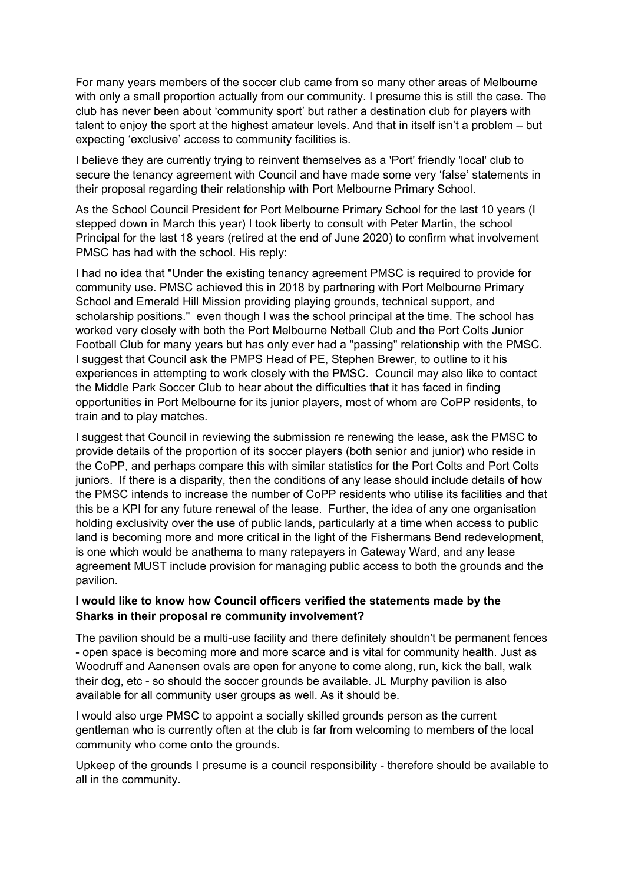For many years members of the soccer club came from so many other areas of Melbourne with only a small proportion actually from our community. I presume this is still the case. The club has never been about 'community sport' but rather a destination club for players with talent to enjoy the sport at the highest amateur levels. And that in itself isn't a problem – but expecting 'exclusive' access to community facilities is.

I believe they are currently trying to reinvent themselves as a 'Port' friendly 'local' club to secure the tenancy agreement with Council and have made some very 'false' statements in their proposal regarding their relationship with Port Melbourne Primary School.

As the School Council President for Port Melbourne Primary School for the last 10 years (I stepped down in March this year) I took liberty to consult with Peter Martin, the school Principal for the last 18 years (retired at the end of June 2020) to confirm what involvement PMSC has had with the school. His reply:

I had no idea that "Under the existing tenancy agreement PMSC is required to provide for community use. PMSC achieved this in 2018 by partnering with Port Melbourne Primary School and Emerald Hill Mission providing playing grounds, technical support, and scholarship positions." even though I was the school principal at the time. The school has worked very closely with both the Port Melbourne Netball Club and the Port Colts Junior Football Club for many years but has only ever had a "passing" relationship with the PMSC. I suggest that Council ask the PMPS Head of PE, Stephen Brewer, to outline to it his experiences in attempting to work closely with the PMSC. Council may also like to contact the Middle Park Soccer Club to hear about the difficulties that it has faced in finding opportunities in Port Melbourne for its junior players, most of whom are CoPP residents, to train and to play matches.

I suggest that Council in reviewing the submission re renewing the lease, ask the PMSC to provide details of the proportion of its soccer players (both senior and junior) who reside in the CoPP, and perhaps compare this with similar statistics for the Port Colts and Port Colts juniors. If there is a disparity, then the conditions of any lease should include details of how the PMSC intends to increase the number of CoPP residents who utilise its facilities and that this be a KPI for any future renewal of the lease. Further, the idea of any one organisation holding exclusivity over the use of public lands, particularly at a time when access to public land is becoming more and more critical in the light of the Fishermans Bend redevelopment, is one which would be anathema to many ratepayers in Gateway Ward, and any lease agreement MUST include provision for managing public access to both the grounds and the pavilion.

#### **I would like to know how Council officers verified the statements made by the Sharks in their proposal re community involvement?**

The pavilion should be a multi-use facility and there definitely shouldn't be permanent fences - open space is becoming more and more scarce and is vital for community health. Just as Woodruff and Aanensen ovals are open for anyone to come along, run, kick the ball, walk their dog, etc - so should the soccer grounds be available. JL Murphy pavilion is also available for all community user groups as well. As it should be.

I would also urge PMSC to appoint a socially skilled grounds person as the current gentleman who is currently often at the club is far from welcoming to members of the local community who come onto the grounds.

Upkeep of the grounds I presume is a council responsibility - therefore should be available to all in the community.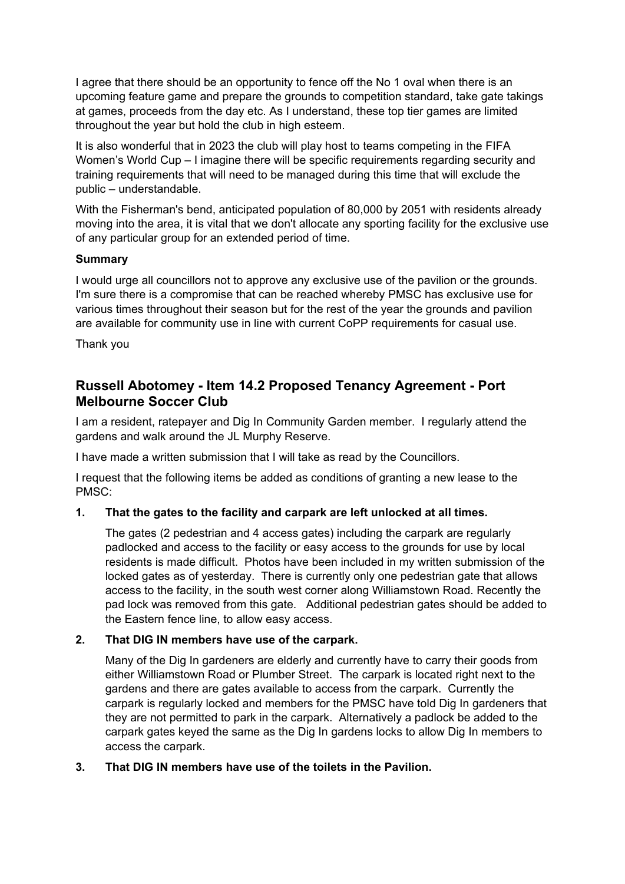I agree that there should be an opportunity to fence off the No 1 oval when there is an upcoming feature game and prepare the grounds to competition standard, take gate takings at games, proceeds from the day etc. As I understand, these top tier games are limited throughout the year but hold the club in high esteem.

It is also wonderful that in 2023 the club will play host to teams competing in the FIFA Women's World Cup – I imagine there will be specific requirements regarding security and training requirements that will need to be managed during this time that will exclude the public – understandable.

With the Fisherman's bend, anticipated population of 80,000 by 2051 with residents already moving into the area, it is vital that we don't allocate any sporting facility for the exclusive use of any particular group for an extended period of time.

#### **Summary**

I would urge all councillors not to approve any exclusive use of the pavilion or the grounds. I'm sure there is a compromise that can be reached whereby PMSC has exclusive use for various times throughout their season but for the rest of the year the grounds and pavilion are available for community use in line with current CoPP requirements for casual use.

Thank you

### **Russell Abotomey - Item 14.2 Proposed Tenancy Agreement - Port Melbourne Soccer Club**

I am a resident, ratepayer and Dig In Community Garden member. I regularly attend the gardens and walk around the JL Murphy Reserve.

I have made a written submission that I will take as read by the Councillors.

I request that the following items be added as conditions of granting a new lease to the PMSC:

#### **1. That the gates to the facility and carpark are left unlocked at all times.**

 The gates (2 pedestrian and 4 access gates) including the carpark are regularly padlocked and access to the facility or easy access to the grounds for use by local residents is made difficult. Photos have been included in my written submission of the locked gates as of yesterday. There is currently only one pedestrian gate that allows access to the facility, in the south west corner along Williamstown Road. Recently the pad lock was removed from this gate. Additional pedestrian gates should be added to the Eastern fence line, to allow easy access.

#### **2. That DIG IN members have use of the carpark.**

Many of the Dig In gardeners are elderly and currently have to carry their goods from either Williamstown Road or Plumber Street. The carpark is located right next to the gardens and there are gates available to access from the carpark. Currently the carpark is regularly locked and members for the PMSC have told Dig In gardeners that they are not permitted to park in the carpark. Alternatively a padlock be added to the carpark gates keyed the same as the Dig In gardens locks to allow Dig In members to access the carpark.

#### **3. That DIG IN members have use of the toilets in the Pavilion.**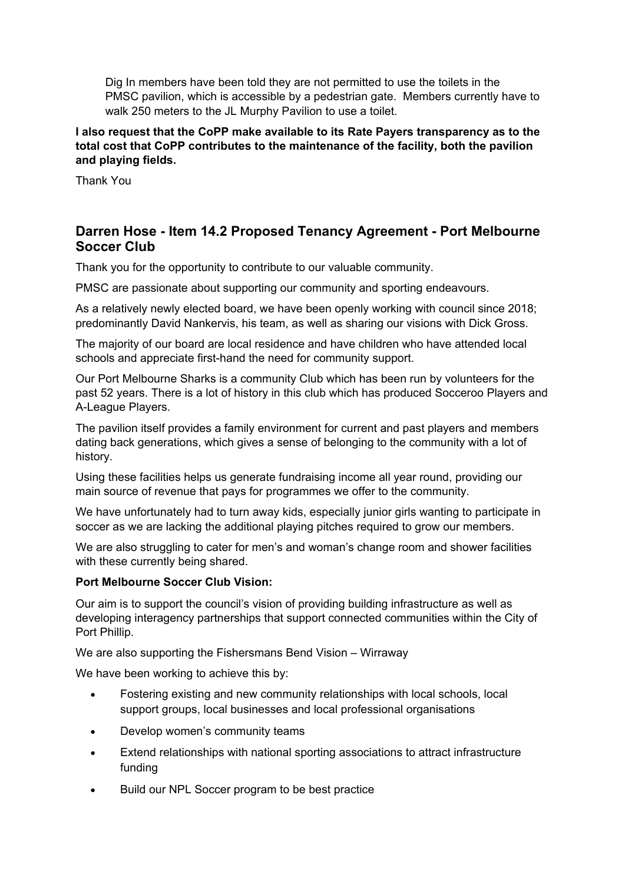Dig In members have been told they are not permitted to use the toilets in the PMSC pavilion, which is accessible by a pedestrian gate. Members currently have to walk 250 meters to the JL Murphy Pavilion to use a toilet.

**I also request that the CoPP make available to its Rate Payers transparency as to the total cost that CoPP contributes to the maintenance of the facility, both the pavilion and playing fields.**

Thank You

# **Darren Hose - Item 14.2 Proposed Tenancy Agreement - Port Melbourne Soccer Club**

Thank you for the opportunity to contribute to our valuable community.

PMSC are passionate about supporting our community and sporting endeavours.

As a relatively newly elected board, we have been openly working with council since 2018; predominantly David Nankervis, his team, as well as sharing our visions with Dick Gross.

The majority of our board are local residence and have children who have attended local schools and appreciate first-hand the need for community support.

Our Port Melbourne Sharks is a community Club which has been run by volunteers for the past 52 years. There is a lot of history in this club which has produced Socceroo Players and A-League Players.

The pavilion itself provides a family environment for current and past players and members dating back generations, which gives a sense of belonging to the community with a lot of history.

Using these facilities helps us generate fundraising income all year round, providing our main source of revenue that pays for programmes we offer to the community.

We have unfortunately had to turn away kids, especially junior girls wanting to participate in soccer as we are lacking the additional playing pitches required to grow our members.

We are also struggling to cater for men's and woman's change room and shower facilities with these currently being shared.

#### **Port Melbourne Soccer Club Vision:**

Our aim is to support the council's vision of providing building infrastructure as well as developing interagency partnerships that support connected communities within the City of Port Phillip.

We are also supporting the Fishersmans Bend Vision – Wirraway

We have been working to achieve this by:

- Fostering existing and new community relationships with local schools, local support groups, local businesses and local professional organisations
- Develop women's community teams
- Extend relationships with national sporting associations to attract infrastructure funding
- Build our NPL Soccer program to be best practice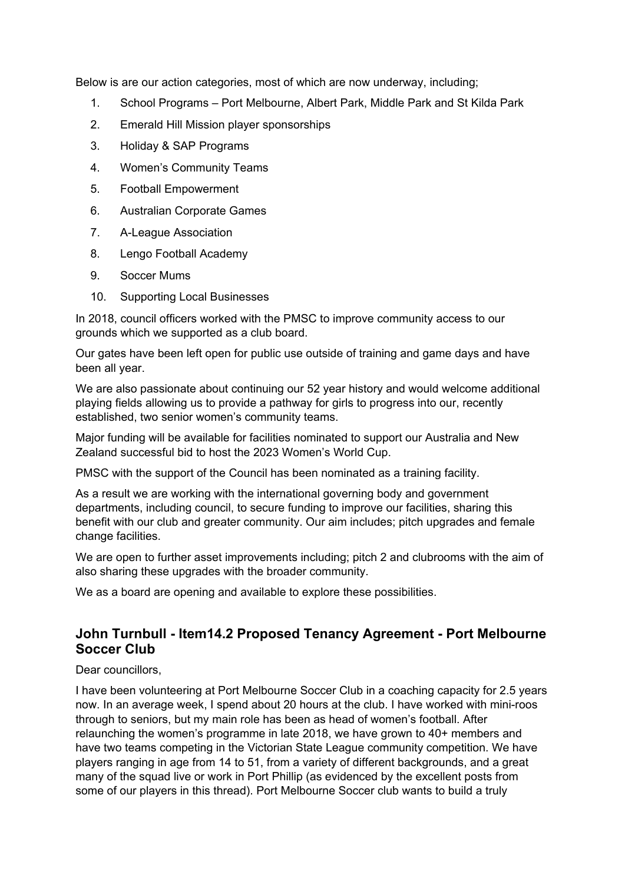Below is are our action categories, most of which are now underway, including;

- 1. School Programs Port Melbourne, Albert Park, Middle Park and St Kilda Park
- 2. Emerald Hill Mission player sponsorships
- 3. Holiday & SAP Programs
- 4. Women's Community Teams
- 5. Football Empowerment
- 6. Australian Corporate Games
- 7. A-League Association
- 8. Lengo Football Academy
- 9. Soccer Mums
- 10. Supporting Local Businesses

In 2018, council officers worked with the PMSC to improve community access to our grounds which we supported as a club board.

Our gates have been left open for public use outside of training and game days and have been all year.

We are also passionate about continuing our 52 year history and would welcome additional playing fields allowing us to provide a pathway for girls to progress into our, recently established, two senior women's community teams.

Major funding will be available for facilities nominated to support our Australia and New Zealand successful bid to host the 2023 Women's World Cup.

PMSC with the support of the Council has been nominated as a training facility.

As a result we are working with the international governing body and government departments, including council, to secure funding to improve our facilities, sharing this benefit with our club and greater community. Our aim includes; pitch upgrades and female change facilities.

We are open to further asset improvements including; pitch 2 and clubrooms with the aim of also sharing these upgrades with the broader community.

We as a board are opening and available to explore these possibilities.

# **John Turnbull - Item14.2 Proposed Tenancy Agreement - Port Melbourne Soccer Club**

Dear councillors.

I have been volunteering at Port Melbourne Soccer Club in a coaching capacity for 2.5 years now. In an average week, I spend about 20 hours at the club. I have worked with mini-roos through to seniors, but my main role has been as head of women's football. After relaunching the women's programme in late 2018, we have grown to 40+ members and have two teams competing in the Victorian State League community competition. We have players ranging in age from 14 to 51, from a variety of different backgrounds, and a great many of the squad live or work in Port Phillip (as evidenced by the excellent posts from some of our players in this thread). Port Melbourne Soccer club wants to build a truly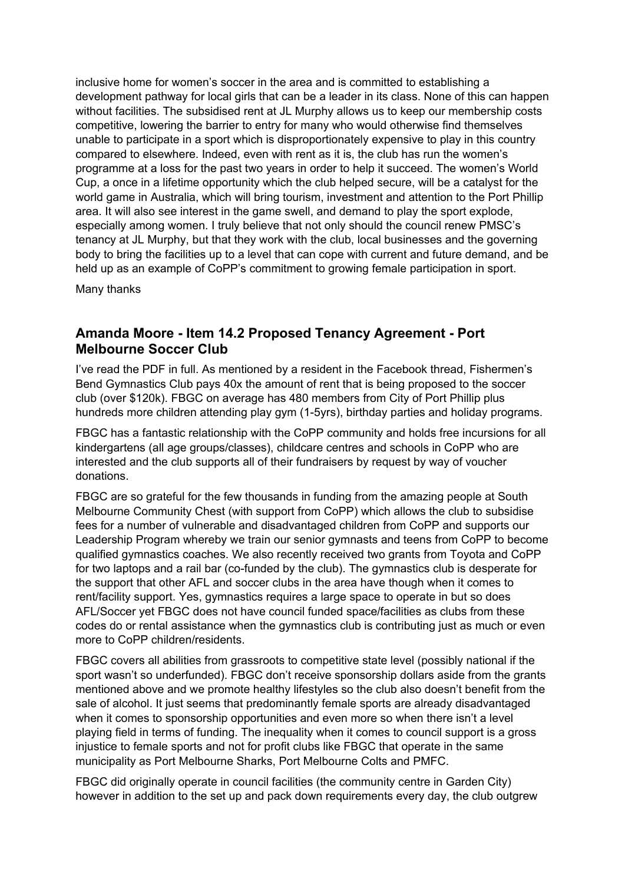inclusive home for women's soccer in the area and is committed to establishing a development pathway for local girls that can be a leader in its class. None of this can happen without facilities. The subsidised rent at JL Murphy allows us to keep our membership costs competitive, lowering the barrier to entry for many who would otherwise find themselves unable to participate in a sport which is disproportionately expensive to play in this country compared to elsewhere. Indeed, even with rent as it is, the club has run the women's programme at a loss for the past two years in order to help it succeed. The women's World Cup, a once in a lifetime opportunity which the club helped secure, will be a catalyst for the world game in Australia, which will bring tourism, investment and attention to the Port Phillip area. It will also see interest in the game swell, and demand to play the sport explode, especially among women. I truly believe that not only should the council renew PMSC's tenancy at JL Murphy, but that they work with the club, local businesses and the governing body to bring the facilities up to a level that can cope with current and future demand, and be held up as an example of CoPP's commitment to growing female participation in sport.

Many thanks

### **Amanda Moore - Item 14.2 Proposed Tenancy Agreement - Port Melbourne Soccer Club**

I've read the PDF in full. As mentioned by a resident in the Facebook thread, Fishermen's Bend Gymnastics Club pays 40x the amount of rent that is being proposed to the soccer club (over \$120k). FBGC on average has 480 members from City of Port Phillip plus hundreds more children attending play gym (1-5yrs), birthday parties and holiday programs.

FBGC has a fantastic relationship with the CoPP community and holds free incursions for all kindergartens (all age groups/classes), childcare centres and schools in CoPP who are interested and the club supports all of their fundraisers by request by way of voucher donations.

FBGC are so grateful for the few thousands in funding from the amazing people at South Melbourne Community Chest (with support from CoPP) which allows the club to subsidise fees for a number of vulnerable and disadvantaged children from CoPP and supports our Leadership Program whereby we train our senior gymnasts and teens from CoPP to become qualified gymnastics coaches. We also recently received two grants from Toyota and CoPP for two laptops and a rail bar (co-funded by the club). The gymnastics club is desperate for the support that other AFL and soccer clubs in the area have though when it comes to rent/facility support. Yes, gymnastics requires a large space to operate in but so does AFL/Soccer yet FBGC does not have council funded space/facilities as clubs from these codes do or rental assistance when the gymnastics club is contributing just as much or even more to CoPP children/residents.

FBGC covers all abilities from grassroots to competitive state level (possibly national if the sport wasn't so underfunded). FBGC don't receive sponsorship dollars aside from the grants mentioned above and we promote healthy lifestyles so the club also doesn't benefit from the sale of alcohol. It just seems that predominantly female sports are already disadvantaged when it comes to sponsorship opportunities and even more so when there isn't a level playing field in terms of funding. The inequality when it comes to council support is a gross injustice to female sports and not for profit clubs like FBGC that operate in the same municipality as Port Melbourne Sharks, Port Melbourne Colts and PMFC.

FBGC did originally operate in council facilities (the community centre in Garden City) however in addition to the set up and pack down requirements every day, the club outgrew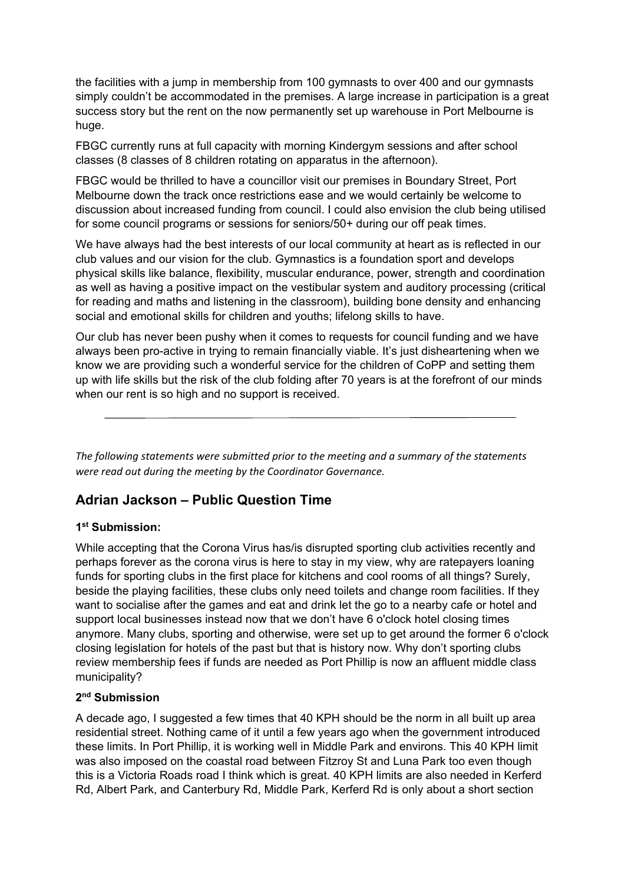the facilities with a jump in membership from 100 gymnasts to over 400 and our gymnasts simply couldn't be accommodated in the premises. A large increase in participation is a great success story but the rent on the now permanently set up warehouse in Port Melbourne is huge.

FBGC currently runs at full capacity with morning Kindergym sessions and after school classes (8 classes of 8 children rotating on apparatus in the afternoon).

FBGC would be thrilled to have a councillor visit our premises in Boundary Street, Port Melbourne down the track once restrictions ease and we would certainly be welcome to discussion about increased funding from council. I could also envision the club being utilised for some council programs or sessions for seniors/50+ during our off peak times.

We have always had the best interests of our local community at heart as is reflected in our club values and our vision for the club. Gymnastics is a foundation sport and develops physical skills like balance, flexibility, muscular endurance, power, strength and coordination as well as having a positive impact on the vestibular system and auditory processing (critical for reading and maths and listening in the classroom), building bone density and enhancing social and emotional skills for children and youths; lifelong skills to have.

Our club has never been pushy when it comes to requests for council funding and we have always been pro-active in trying to remain financially viable. It's just disheartening when we know we are providing such a wonderful service for the children of CoPP and setting them up with life skills but the risk of the club folding after 70 years is at the forefront of our minds when our rent is so high and no support is received.

*The following statements were submitted prior to the meeting and a summary of the statements were read out during the meeting by the Coordinator Governance.*

# **Adrian Jackson – Public Question Time**

#### **1st Submission:**

While accepting that the Corona Virus has/is disrupted sporting club activities recently and perhaps forever as the corona virus is here to stay in my view, why are ratepayers loaning funds for sporting clubs in the first place for kitchens and cool rooms of all things? Surely, beside the playing facilities, these clubs only need toilets and change room facilities. If they want to socialise after the games and eat and drink let the go to a nearby cafe or hotel and support local businesses instead now that we don't have 6 o'clock hotel closing times anymore. Many clubs, sporting and otherwise, were set up to get around the former 6 o'clock closing legislation for hotels of the past but that is history now. Why don't sporting clubs review membership fees if funds are needed as Port Phillip is now an affluent middle class municipality?

### **2nd Submission**

A decade ago, I suggested a few times that 40 KPH should be the norm in all built up area residential street. Nothing came of it until a few years ago when the government introduced these limits. In Port Phillip, it is working well in Middle Park and environs. This 40 KPH limit was also imposed on the coastal road between Fitzroy St and Luna Park too even though this is a Victoria Roads road I think which is great. 40 KPH limits are also needed in Kerferd Rd, Albert Park, and Canterbury Rd, Middle Park, Kerferd Rd is only about a short section